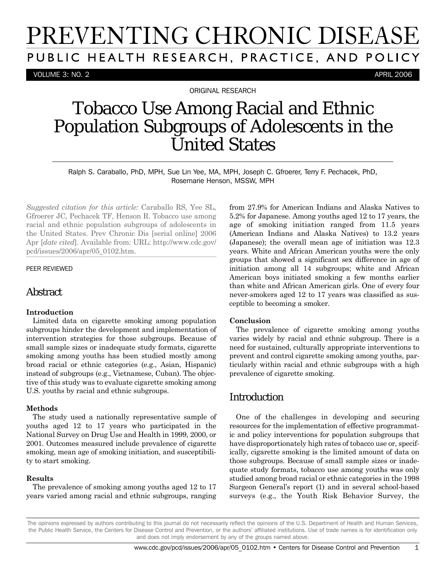# PREVENTING CHRONIC DISEASE PUBLIC HEALTH RESEARCH, PRACTICE, AND POLICY

VOLUME 3: NO. 2 APRIL 2006

ORIGINAL RESEARCH

## Tobacco Use Among Racial and Ethnic Population Subgroups of Adolescents in the United States

Ralph S. Caraballo, PhD, MPH, Sue Lin Yee, MA, MPH, Joseph C. Gfroerer, Terry F. Pechacek, PhD, Rosemarie Henson, MSSW, MPH

*Suggested citation for this article:* Caraballo RS, Yee SL, Gfroerer JC, Pechacek TF, Henson R. Tobacco use among racial and ethnic population subgroups of adolescents in the United States. Prev Chronic Dis [serial online] 2006 Apr [*date cited*]. Available from: URL: http://www.cdc.gov/ pcd/issues/2006/apr/05\_0102.htm.

#### PEER REVIEWED

## **Abstract**

#### **Introduction**

Limited data on cigarette smoking among population subgroups hinder the development and implementation of intervention strategies for those subgroups. Because of small sample sizes or inadequate study formats, cigarette smoking among youths has been studied mostly among broad racial or ethnic categories (e.g., Asian, Hispanic) instead of subgroups (e.g., Vietnamese, Cuban). The objective of this study was to evaluate cigarette smoking among U.S. youths by racial and ethnic subgroups.

#### **Methods**

The study used a nationally representative sample of youths aged 12 to 17 years who participated in the National Survey on Drug Use and Health in 1999, 2000, or 2001. Outcomes measured include prevalence of cigarette smoking, mean age of smoking initiation, and susceptibility to start smoking.

#### **Results**

The prevalence of smoking among youths aged 12 to 17 years varied among racial and ethnic subgroups, ranging from 27.9% for American Indians and Alaska Natives to 5.2% for Japanese. Among youths aged 12 to 17 years, the age of smoking initiation ranged from 11.5 years (American Indians and Alaska Natives) to 13.2 years (Japanese); the overall mean age of initiation was 12.3 years. White and African American youths were the only groups that showed a significant sex difference in age of initiation among all 14 subgroups; white and African American boys initiated smoking a few months earlier than white and African American girls. One of every four never-smokers aged 12 to 17 years was classified as susceptible to becoming a smoker.

#### **Conclusion**

The prevalence of cigarette smoking among youths varies widely by racial and ethnic subgroup. There is a need for sustained, culturally appropriate interventions to prevent and control cigarette smoking among youths, particularly within racial and ethnic subgroups with a high prevalence of cigarette smoking.

## Introduction

One of the challenges in developing and securing resources for the implementation of effective programmatic and policy interventions for population subgroups that have disproportionately high rates of tobacco use or, specifically, cigarette smoking is the limited amount of data on those subgroups. Because of small sample sizes or inadequate study formats, tobacco use among youths was only studied among broad racial or ethnic categories in the 1998 Surgeon General's report (1) and in several school-based surveys (e.g., the Youth Risk Behavior Survey, the

The opinions expressed by authors contributing to this journal do not necessarily reflect the opinions of the U.S. Department of Health and Human Services, the Public Health Service, the Centers for Disease Control and Prevention, or the authors' affiliated institutions. Use of trade names is for identification only and does not imply endorsement by any of the groups named above.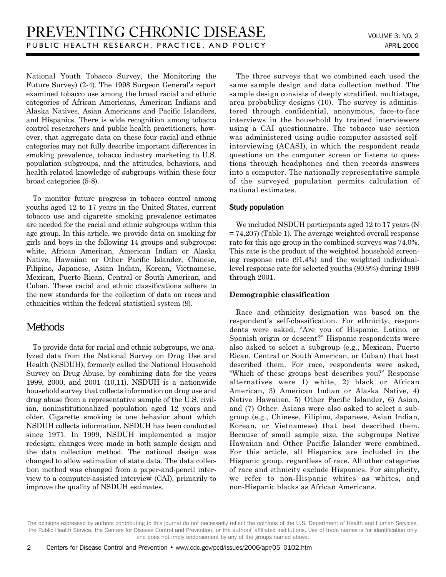National Youth Tobacco Survey, the Monitoring the Future Survey) (2-4). The 1998 Surgeon General's report examined tobacco use among the broad racial and ethnic categories of African Americans, American Indians and Alaska Natives, Asian Americans and Pacific Islanders, and Hispanics. There is wide recognition among tobacco control researchers and public health practitioners, however, that aggregate data on these four racial and ethnic categories may not fully describe important differences in smoking prevalence, tobacco industry marketing to U.S. population subgroups, and the attitudes, behaviors, and health-related knowledge of subgroups within these four broad categories (5-8).

To monitor future progress in tobacco control among youths aged 12 to 17 years in the United States, current tobacco use and cigarette smoking prevalence estimates are needed for the racial and ethnic subgroups within this age group. In this article, we provide data on smoking for girls and boys in the following 14 groups and subgroups: white, African American, American Indian or Alaska Native, Hawaiian or Other Pacific Islander, Chinese, Filipino, Japanese, Asian Indian, Korean, Vietnamese, Mexican, Puerto Rican, Central or South American, and Cuban. These racial and ethnic classifications adhere to the new standards for the collection of data on races and ethnicities within the federal statistical system (9).

## Methods

To provide data for racial and ethnic subgroups, we analyzed data from the National Survey on Drug Use and Health (NSDUH), formerly called the National Household Survey on Drug Abuse, by combining data for the years 1999, 2000, and 2001 (10,11). NSDUH is a nationwide household survey that collects information on drug use and drug abuse from a representative sample of the U.S. civilian, noninstitutionalized population aged 12 years and older. Cigarette smoking is one behavior about which NSDUH collects information. NSDUH has been conducted since 1971. In 1999, NSDUH implemented a major redesign; changes were made in both sample design and the data collection method. The national design was changed to allow estimation of state data. The data collection method was changed from a paper-and-pencil interview to a computer-assisted interview (CAI), primarily to improve the quality of NSDUH estimates.

The three surveys that we combined each used the same sample design and data collection method. The sample design consists of deeply stratified, multistage, area probability designs (10). The survey is administered through confidential, anonymous, face-to-face interviews in the household by trained interviewers using a CAI questionnaire. The tobacco use section was administered using audio computer-assisted selfinterviewing (ACASI), in which the respondent reads questions on the computer screen or listens to questions through headphones and then records answers into a computer. The nationally representative sample of the surveyed population permits calculation of national estimates.

#### Study population

We included NSDUH participants aged 12 to 17 years (N  $= 74,207$  (Table 1). The average weighted overall response rate for this age group in the combined surveys was 74.0%. This rate is the product of the weighted household screening response rate (91.4%) and the weighted individuallevel response rate for selected youths (80.9%) during 1999 through 2001.

#### **Demographic classification**

Race and ethnicity designation was based on the respondent's self-classification. For ethnicity, respondents were asked, "Are you of Hispanic, Latino, or Spanish origin or descent?" Hispanic respondents were also asked to select a subgroup (e.g., Mexican, Puerto Rican, Central or South American, or Cuban) that best described them. For race, respondents were asked, "Which of these groups best describes you?" Response alternatives were 1) white, 2) black or African American, 3) American Indian or Alaska Native, 4) Native Hawaiian, 5) Other Pacific Islander, 6) Asian, and (7) Other. Asians were also asked to select a subgroup (e.g., Chinese, Filipino, Japanese, Asian Indian, Korean, or Vietnamese) that best described them. Because of small sample size, the subgroups Native Hawaiian and Other Pacific Islander were combined. For this article, all Hispanics are included in the Hispanic group, regardless of race. All other categories of race and ethnicity exclude Hispanics. For simplicity, we refer to non-Hispanic whites as whites, and non-Hispanic blacks as African Americans.

The opinions expressed by authors contributing to this journal do not necessarily reflect the opinions of the U.S. Department of Health and Human Services, the Public Health Service, the Centers for Disease Control and Prevention, or the authors' affiliated institutions. Use of trade names is for identification only and does not imply endorsement by any of the groups named above.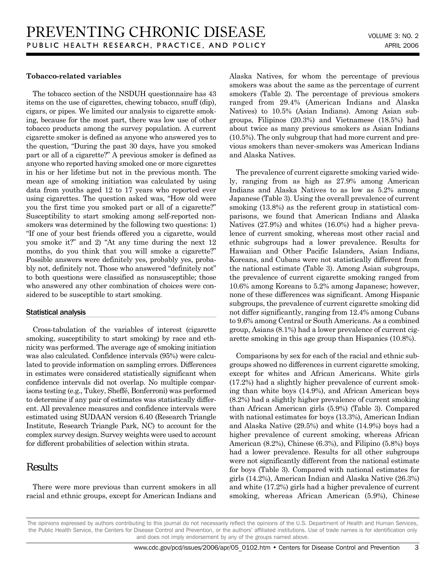#### **Tobacco-related variables**

The tobacco section of the NSDUH questionnaire has 43 items on the use of cigarettes, chewing tobacco, snuff (dip), cigars, or pipes. We limited our analysis to cigarette smoking, because for the most part, there was low use of other tobacco products among the survey population. A current cigarette smoker is defined as anyone who answered yes to the question, "During the past 30 days, have you smoked part or all of a cigarette?" A previous smoker is defined as anyone who reported having smoked one or more cigarettes in his or her lifetime but not in the previous month. The mean age of smoking initiation was calculated by using data from youths aged 12 to 17 years who reported ever using cigarettes. The question asked was, "How old were you the first time you smoked part or all of a cigarette?" Susceptibility to start smoking among self-reported nonsmokers was determined by the following two questions: 1) "If one of your best friends offered you a cigarette, would you smoke it?" and 2) "At any time during the next 12 months, do you think that you will smoke a cigarette?" Possible answers were definitely yes, probably yes, probably not, definitely not. Those who answered "definitely not" to both questions were classified as nonsusceptible; those who answered any other combination of choices were considered to be susceptible to start smoking.

#### Statistical analysis

Cross-tabulation of the variables of interest (cigarette smoking, susceptibility to start smoking) by race and ethnicity was performed. The average age of smoking initiation was also calculated. Confidence intervals (95%) were calculated to provide information on sampling errors. Differences in estimates were considered statistically significant when confidence intervals did not overlap. No multiple comparisons testing (e.g., Tukey, Sheffé, Bonferroni) was performed to determine if any pair of estimates was statistically different. All prevalence measures and confidence intervals were estimated using SUDAAN version 6.40 (Research Triangle Institute, Research Triangle Park, NC) to account for the complex survey design. Survey weights were used to account for different probabilities of selection within strata.

## Results

There were more previous than current smokers in all racial and ethnic groups, except for American Indians and Alaska Natives, for whom the percentage of previous smokers was about the same as the percentage of current smokers (Table 2). The percentage of previous smokers ranged from 29.4% (American Indians and Alaska Natives) to 10.5% (Asian Indians). Among Asian subgroups, Filipinos (20.3%) and Vietnamese (18.5%) had about twice as many previous smokers as Asian Indians (10.5%). The only subgroup that had more current and previous smokers than never-smokers was American Indians and Alaska Natives.

The prevalence of current cigarette smoking varied widely, ranging from as high as 27.9% among American Indians and Alaska Natives to as low as 5.2% among Japanese (Table 3). Using the overall prevalence of current smoking  $(13.8\%)$  as the referent group in statistical comparisons, we found that American Indians and Alaska Natives (27.9%) and whites (16.0%) had a higher prevalence of current smoking, whereas most other racial and ethnic subgroups had a lower prevalence. Results for Hawaiian and Other Pacific Islanders, Asian Indians, Koreans, and Cubans were not statistically different from the national estimate (Table 3). Among Asian subgroups, the prevalence of current cigarette smoking ranged from 10.6% among Koreans to 5.2% among Japanese; however, none of these differences was significant. Among Hispanic subgroups, the prevalence of current cigarette smoking did not differ significantly, ranging from 12.4% among Cubans to 9.6% among Central or South Americans. As a combined group, Asians (8.1%) had a lower prevalence of current cigarette smoking in this age group than Hispanics (10.8%).

Comparisons by sex for each of the racial and ethnic subgroups showed no differences in current cigarette smoking, except for whites and African Americans. White girls (17.2%) had a slightly higher prevalence of current smoking than white boys (14.9%), and African American boys (8.2%) had a slightly higher prevalence of current smoking than African American girls (5.9%) (Table 3). Compared with national estimates for boys (13.3%), American Indian and Alaska Native (29.5%) and white (14.9%) boys had a higher prevalence of current smoking, whereas African American (8.2%), Chinese (6.3%), and Filipino (5.8%) boys had a lower prevalence. Results for all other subgroups were not significantly different from the national estimate for boys (Table 3). Compared with national estimates for girls (14.2%), American Indian and Alaska Native (26.3%) and white (17.2%) girls had a higher prevalence of current smoking, whereas African American (5.9%), Chinese

The opinions expressed by authors contributing to this journal do not necessarily reflect the opinions of the U.S. Department of Health and Human Services, the Public Health Service, the Centers for Disease Control and Prevention, or the authors' affiliated institutions. Use of trade names is for identification only and does not imply endorsement by any of the groups named above.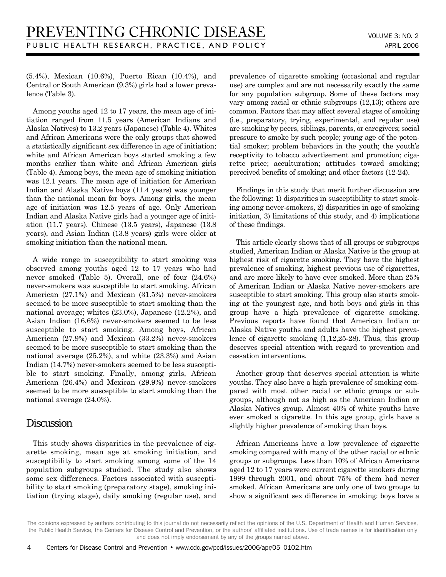(5.4%), Mexican (10.6%), Puerto Rican (10.4%), and Central or South American (9.3%) girls had a lower prevalence (Table 3).

Among youths aged 12 to 17 years, the mean age of initiation ranged from 11.5 years (American Indians and Alaska Natives) to 13.2 years (Japanese) (Table 4). Whites and African Americans were the only groups that showed a statistically significant sex difference in age of initiation; white and African American boys started smoking a few months earlier than white and African American girls (Table 4). Among boys, the mean age of smoking initiation was 12.1 years. The mean age of initiation for American Indian and Alaska Native boys (11.4 years) was younger than the national mean for boys. Among girls, the mean age of initiation was 12.5 years of age. Only American Indian and Alaska Native girls had a younger age of initiation (11.7 years). Chinese (13.5 years), Japanese (13.8 years), and Asian Indian (13.8 years) girls were older at smoking initiation than the national mean.

A wide range in susceptibility to start smoking was observed among youths aged 12 to 17 years who had never smoked (Table 5). Overall, one of four (24.6%) never-smokers was susceptible to start smoking. African American (27.1%) and Mexican (31.5%) never-smokers seemed to be more susceptible to start smoking than the national average; whites (23.0%), Japanese (12.2%), and Asian Indian (16.6%) never-smokers seemed to be less susceptible to start smoking. Among boys, African American (27.9%) and Mexican (33.2%) never-smokers seemed to be more susceptible to start smoking than the national average (25.2%), and white (23.3%) and Asian Indian (14.7%) never-smokers seemed to be less susceptible to start smoking. Finally, among girls, African American (26.4%) and Mexican (29.9%) never-smokers seemed to be more susceptible to start smoking than the national average (24.0%).

## **Discussion**

This study shows disparities in the prevalence of cigarette smoking, mean age at smoking initiation, and susceptibility to start smoking among some of the 14 population subgroups studied. The study also shows some sex differences. Factors associated with susceptibility to start smoking (preparatory stage), smoking initiation (trying stage), daily smoking (regular use), and prevalence of cigarette smoking (occasional and regular use) are complex and are not necessarily exactly the same for any population subgroup. Some of these factors may vary among racial or ethnic subgroups (12,13); others are common. Factors that may affect several stages of smoking (i.e., preparatory, trying, experimental, and regular use) are smoking by peers, siblings, parents, or caregivers; social pressure to smoke by such people; young age of the potential smoker; problem behaviors in the youth; the youth's receptivity to tobacco advertisement and promotion; cigarette price; acculturation; attitudes toward smoking; perceived benefits of smoking; and other factors (12-24).

Findings in this study that merit further discussion are the following: 1) disparities in susceptibility to start smoking among never-smokers, 2) disparities in age of smoking initiation, 3) limitations of this study, and 4) implications of these findings.

This article clearly shows that of all groups or subgroups studied, American Indian or Alaska Native is the group at highest risk of cigarette smoking. They have the highest prevalence of smoking, highest previous use of cigarettes, and are more likely to have ever smoked. More than 25% of American Indian or Alaska Native never-smokers are susceptible to start smoking. This group also starts smoking at the youngest age, and both boys and girls in this group have a high prevalence of cigarette smoking. Previous reports have found that American Indian or Alaska Native youths and adults have the highest prevalence of cigarette smoking (1,12,25-28). Thus, this group deserves special attention with regard to prevention and cessation interventions.

Another group that deserves special attention is white youths. They also have a high prevalence of smoking compared with most other racial or ethnic groups or subgroups, although not as high as the American Indian or Alaska Natives group. Almost 40% of white youths have ever smoked a cigarette. In this age group, girls have a slightly higher prevalence of smoking than boys.

African Americans have a low prevalence of cigarette smoking compared with many of the other racial or ethnic groups or subgroups. Less than 10% of African Americans aged 12 to 17 years were current cigarette smokers during 1999 through 2001, and about 75% of them had never smoked. African Americans are only one of two groups to show a significant sex difference in smoking: boys have a

The opinions expressed by authors contributing to this journal do not necessarily reflect the opinions of the U.S. Department of Health and Human Services, the Public Health Service, the Centers for Disease Control and Prevention, or the authors' affiliated institutions. Use of trade names is for identification only and does not imply endorsement by any of the groups named above.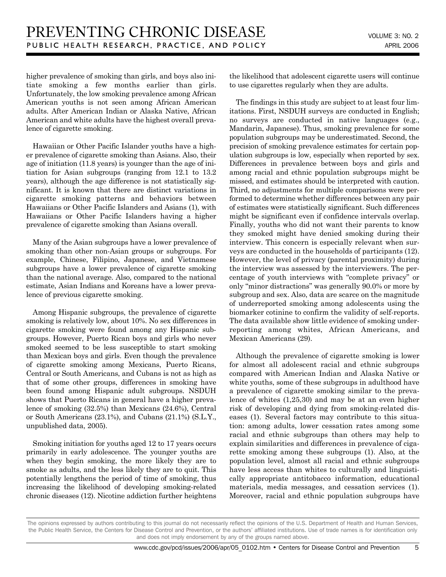higher prevalence of smoking than girls, and boys also initiate smoking a few months earlier than girls. Unfortunately, the low smoking prevalence among African American youths is not seen among African American adults. After American Indian or Alaska Native, African American and white adults have the highest overall prevalence of cigarette smoking.

Hawaiian or Other Pacific Islander youths have a higher prevalence of cigarette smoking than Asians. Also, their age of initiation (11.8 years) is younger than the age of initiation for Asian subgroups (ranging from 12.1 to 13.2 years), although the age difference is not statistically significant. It is known that there are distinct variations in cigarette smoking patterns and behaviors between Hawaiians or Other Pacific Islanders and Asians (1), with Hawaiians or Other Pacific Islanders having a higher prevalence of cigarette smoking than Asians overall.

Many of the Asian subgroups have a lower prevalence of smoking than other non-Asian groups or subgroups. For example, Chinese, Filipino, Japanese, and Vietnamese subgroups have a lower prevalence of cigarette smoking than the national average. Also, compared to the national estimate, Asian Indians and Koreans have a lower prevalence of previous cigarette smoking.

Among Hispanic subgroups, the prevalence of cigarette smoking is relatively low, about 10%. No sex differences in cigarette smoking were found among any Hispanic subgroups. However, Puerto Rican boys and girls who never smoked seemed to be less susceptible to start smoking than Mexican boys and girls. Even though the prevalence of cigarette smoking among Mexicans, Puerto Ricans, Central or South Americans, and Cubans is not as high as that of some other groups, differences in smoking have been found among Hispanic adult subgroups. NSDUH shows that Puerto Ricans in general have a higher prevalence of smoking (32.5%) than Mexicans (24.6%), Central or South Americans (23.1%), and Cubans (21.1%) (S.L.Y., unpublished data, 2005).

Smoking initiation for youths aged 12 to 17 years occurs primarily in early adolescence. The younger youths are when they begin smoking, the more likely they are to smoke as adults, and the less likely they are to quit. This potentially lengthens the period of time of smoking, thus increasing the likelihood of developing smoking-related chronic diseases (12). Nicotine addiction further heightens the likelihood that adolescent cigarette users will continue to use cigarettes regularly when they are adults.

The findings in this study are subject to at least four limitations. First, NSDUH surveys are conducted in English; no surveys are conducted in native languages (e.g., Mandarin, Japanese). Thus, smoking prevalence for some population subgroups may be underestimated. Second, the precision of smoking prevalence estimates for certain population subgroups is low, especially when reported by sex. Differences in prevalence between boys and girls and among racial and ethnic population subgroups might be missed, and estimates should be interpreted with caution. Third, no adjustments for multiple comparisons were performed to determine whether differences between any pair of estimates were statistically significant. Such differences might be significant even if confidence intervals overlap. Finally, youths who did not want their parents to know they smoked might have denied smoking during their interview. This concern is especially relevant when surveys are conducted in the households of participants (12). However, the level of privacy (parental proximity) during the interview was assessed by the interviewers. The percentage of youth interviews with "complete privacy" or only "minor distractions" was generally 90.0% or more by subgroup and sex. Also, data are scarce on the magnitude of underreported smoking among adolescents using the biomarker cotinine to confirm the validity of self-reports. The data available show little evidence of smoking underreporting among whites, African Americans, and Mexican Americans (29).

Although the prevalence of cigarette smoking is lower for almost all adolescent racial and ethnic subgroups compared with American Indian and Alaska Native or white youths, some of these subgroups in adulthood have a prevalence of cigarette smoking similar to the prevalence of whites (1,25,30) and may be at an even higher risk of developing and dying from smoking-related diseases (1). Several factors may contribute to this situation: among adults, lower cessation rates among some racial and ethnic subgroups than others may help to explain similarities and differences in prevalence of cigarette smoking among these subgroups (1). Also, at the population level, almost all racial and ethnic subgroups have less access than whites to culturally and linguistically appropriate antitobacco information, educational materials, media messages, and cessation services (1). Moreover, racial and ethnic population subgroups have

The opinions expressed by authors contributing to this journal do not necessarily reflect the opinions of the U.S. Department of Health and Human Services, the Public Health Service, the Centers for Disease Control and Prevention, or the authors' affiliated institutions. Use of trade names is for identification only and does not imply endorsement by any of the groups named above.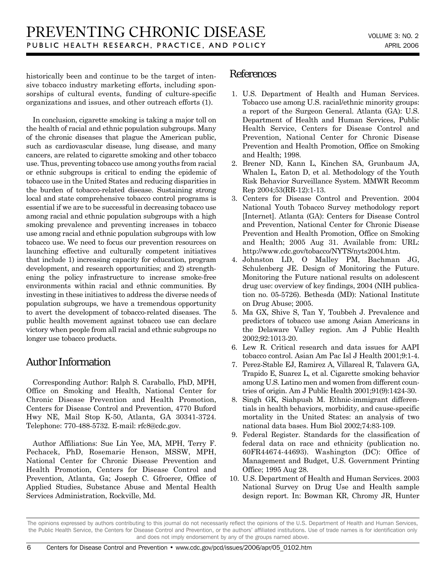historically been and continue to be the target of intensive tobacco industry marketing efforts, including sponsorships of cultural events, funding of culture-specific organizations and issues, and other outreach efforts (1).

In conclusion, cigarette smoking is taking a major toll on the health of racial and ethnic population subgroups. Many of the chronic diseases that plague the American public, such as cardiovascular disease, lung disease, and many cancers, are related to cigarette smoking and other tobacco use. Thus, preventing tobacco use among youths from racial or ethnic subgroups is critical to ending the epidemic of tobacco use in the United States and reducing disparities in the burden of tobacco-related disease. Sustaining strong local and state comprehensive tobacco control programs is essential if we are to be successful in decreasing tobacco use among racial and ethnic population subgroups with a high smoking prevalence and preventing increases in tobacco use among racial and ethnic population subgroups with low tobacco use. We need to focus our prevention resources on launching effective and culturally competent initiatives that include 1) increasing capacity for education, program development, and research opportunities; and 2) strengthening the policy infrastructure to increase smoke-free environments within racial and ethnic communities. By investing in these initiatives to address the diverse needs of population subgroups, we have a tremendous opportunity to avert the development of tobacco-related diseases. The public health movement against tobacco use can declare victory when people from all racial and ethnic subgroups no longer use tobacco products.

## Author Information

Corresponding Author: Ralph S. Caraballo, PhD, MPH, Office on Smoking and Health, National Center for Chronic Disease Prevention and Health Promotion, Centers for Disease Control and Prevention, 4770 Buford Hwy NE, Mail Stop K-50, Atlanta, GA 30341-3724. Telephone: 770-488-5732. E-mail: rfc8@cdc.gov.

Author Affiliations: Sue Lin Yee, MA, MPH, Terry F. Pechacek, PhD, Rosemarie Henson, MSSW, MPH, National Center for Chronic Disease Prevention and Health Promotion, Centers for Disease Control and Prevention, Atlanta, Ga; Joseph C. Gfroerer, Office of Applied Studies, Substance Abuse and Mental Health Services Administration, Rockville, Md.

### References

- 1. U.S. Department of Health and Human Services. Tobacco use among U.S. racial/ethnic minority groups: a report of the Surgeon General. Atlanta (GA): U.S. Department of Health and Human Services, Public Health Service, Centers for Disease Control and Prevention, National Center for Chronic Disease Prevention and Health Promotion, Office on Smoking and Health; 1998.
- 2. Brener ND, Kann L, Kinchen SA, Grunbaum JA, Whalen L, Eaton D, et al. Methodology of the Youth Risk Behavior Surveillance System. MMWR Recomm Rep 2004;53(RR-12):1-13.
- 3. Centers for Disease Control and Prevention. 2004 National Youth Tobacco Survey methodology report [Internet]. Atlanta (GA): Centers for Disease Control and Prevention, National Center for Chronic Disease Prevention and Health Promotion, Office on Smoking and Health; 2005 Aug 31. Available from: URL: http://www.cdc.gov/tobacco/NYTS/nyts2004.htm.
- 4. Johnston LD, O Malley PM, Bachman JG, Schulenberg JE. Design of Monitoring the Future. Monitoring the Future national results on adolescent drug use: overview of key findings, 2004 (NIH publication no. 05-5726). Bethesda (MD): National Institute on Drug Abuse; 2005.
- 5. Ma GX, Shive S, Tan Y, Toubbeh J. Prevalence and predictors of tobacco use among Asian Americans in the Delaware Valley region. Am J Public Health 2002;92:1013-20.
- 6. Lew R. Critical research and data issues for AAPI tobacco control. Asian Am Pac Isl J Health 2001;9:1-4.
- 7. Perez-Stable EJ, Ramirez A, Villareal R, Talavera GA, Trapido E, Suarez L, et al. Cigarette smoking behavior among U.S. Latino men and women from different countries of origin. Am J Public Health 2001;91(9):1424-30.
- 8. Singh GK, Siahpush M. Ethnic-immigrant differentials in health behaviors, morbidity, and cause-specific mortality in the United States: an analysis of two national data bases. Hum Biol 2002;74:83-109.
- 9. Federal Register. Standards for the classification of federal data on race and ethnicity (publication no. 60FR44674-44693). Washington (DC): Office of Management and Budget, U.S. Government Printing Office; 1995 Aug 28.
- 10. U.S. Department of Health and Human Services. 2003 National Survey on Drug Use and Health sample design report. In: Bowman KR, Chromy JR, Hunter

The opinions expressed by authors contributing to this journal do not necessarily reflect the opinions of the U.S. Department of Health and Human Services, the Public Health Service, the Centers for Disease Control and Prevention, or the authors' affiliated institutions. Use of trade names is for identification only and does not imply endorsement by any of the groups named above.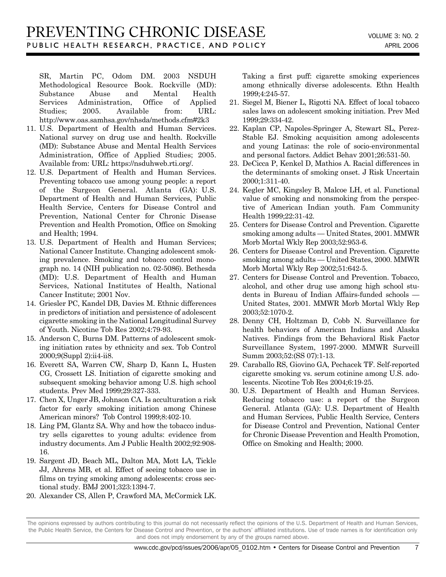SR, Martin PC, Odom DM. 2003 NSDUH Methodological Resource Book. Rockville (MD): Substance Abuse and Mental Health Services Administration, Office of Applied Studies; 2005. Available from: URL: http://www.oas.samhsa.gov/nhsda/methods.cfm#2k3

- 11. U.S. Department of Health and Human Services. National survey on drug use and health. Rockville (MD): Substance Abuse and Mental Health Services Administration, Office of Applied Studies; 2005. Available from: URL: https://nsduhweb.rti.org/.
- 12. U.S. Department of Health and Human Services. Preventing tobacco use among young people: a report of the Surgeon General. Atlanta (GA): U.S. Department of Health and Human Services, Public Health Service, Centers for Disease Control and Prevention, National Center for Chronic Disease Prevention and Health Promotion, Office on Smoking and Health; 1994.
- 13. U.S. Department of Health and Human Services; National Cancer Institute. Changing adolescent smoking prevalence. Smoking and tobacco control monograph no. 14 (NIH publication no. 02-5086). Bethesda (MD): U.S. Department of Health and Human Services, National Institutes of Health, National Cancer Institute; 2001 Nov.
- 14. Griesler PC, Kandel DB, Davies M. Ethnic differences in predictors of initiation and persistence of adolescent cigarette smoking in the National Longitudinal Survey of Youth. Nicotine Tob Res 2002;4:79-93.
- 15. Anderson C, Burns DM. Patterns of adolescent smoking initiation rates by ethnicity and sex. Tob Control 2000;9(Suppl 2):ii4-ii8.
- 16. Everett SA, Warren CW, Sharp D, Kann L, Husten CG, Crossett LS. Initiation of cigarette smoking and subsequent smoking behavior among U.S. high school students. Prev Med 1999;29:327-333.
- 17. Chen X, Unger JB, Johnson CA. Is acculturation a risk factor for early smoking initiation among Chinese American minors? Tob Control 1999;8:402-10.
- 18. Ling PM, Glantz SA. Why and how the tobacco industry sells cigarettes to young adults: evidence from industry documents. Am J Public Health 2002;92:908- 16.
- 19. Sargent JD, Beach ML, Dalton MA, Mott LA, Tickle JJ, Ahrens MB, et al. Effect of seeing tobacco use in films on trying smoking among adolescents: cross sectional study. BMJ 2001;323:1394-7.
- 20. Alexander CS, Allen P, Crawford MA, McCormick LK.

Taking a first puff: cigarette smoking experiences among ethnically diverse adolescents. Ethn Health 1999;4:245-57.

- 21. Siegel M, Biener L, Rigotti NA. Effect of local tobacco sales laws on adolescent smoking initiation. Prev Med 1999;29:334-42.
- 22. Kaplan CP, Napoles-Springer A, Stewart SL, Perez-Stable EJ. Smoking acquisition among adolescents and young Latinas: the role of socio-environmental and personal factors. Addict Behav 2001;26:531-50.
- 23. DeCicca P, Kenkel D, Mathios A. Racial differences in the determinants of smoking onset. J Risk Uncertain 2000;1:311-40.
- 24. Kegler MC, Kingsley B, Malcoe LH, et al. Functional value of smoking and nonsmoking from the perspective of American Indian youth. Fam Community Health 1999;22:31-42.
- 25. Centers for Disease Control and Prevention. Cigarette smoking among adults — United States, 2001. MMWR Morb Mortal Wkly Rep 2003;52:953-6.
- 26. Centers for Disease Control and Prevention. Cigarette smoking among adults — United States, 2000. MMWR Morb Mortal Wkly Rep 2002;51:642-5.
- 27. Centers for Disease Control and Prevention. Tobacco, alcohol, and other drug use among high school students in Bureau of Indian Affairs-funded schools — United States, 2001. MMWR Morb Mortal Wkly Rep 2003;52:1070-2.
- 28. Denny CH, Holtzman D, Cobb N. Surveillance for health behaviors of American Indians and Alaska Natives. Findings from the Behavioral Risk Factor Surveillance System, 1997-2000. MMWR Surveill Summ 2003;52:(SS 07):1-13.
- 29. Caraballo RS, Giovino GA, Pechacek TF. Self-reported cigarette smoking vs. serum cotinine among U.S. adolescents. Nicotine Tob Res 2004;6:19-25.
- 30. U.S. Department of Health and Human Services. Reducing tobacco use: a report of the Surgeon General. Atlanta (GA): U.S. Department of Health and Human Services, Public Health Service, Centers for Disease Control and Prevention, National Center for Chronic Disease Prevention and Health Promotion, Office on Smoking and Health; 2000.

The opinions expressed by authors contributing to this journal do not necessarily reflect the opinions of the U.S. Department of Health and Human Services, the Public Health Service, the Centers for Disease Control and Prevention, or the authors' affiliated institutions. Use of trade names is for identification only and does not imply endorsement by any of the groups named above.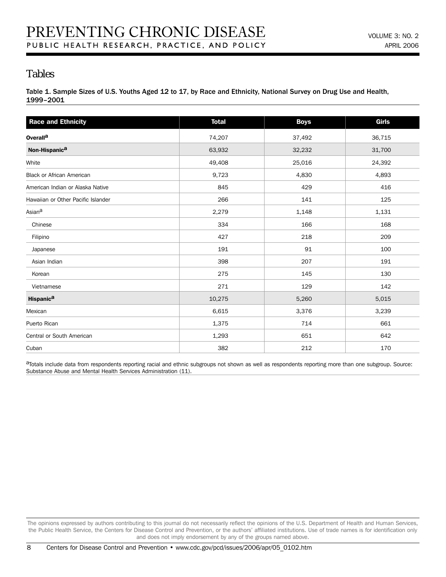## Tables

Table 1. Sample Sizes of U.S. Youths Aged 12 to 17, by Race and Ethnicity, National Survey on Drug Use and Health, 1999–2001

| <b>Race and Ethnicity</b>          | <b>Total</b> | <b>Boys</b> | <b>Girls</b> |
|------------------------------------|--------------|-------------|--------------|
| <b>Overalla</b>                    | 74,207       | 37,492      | 36,715       |
| Non-Hispanic <sup>a</sup>          | 63,932       | 32,232      | 31,700       |
| White                              | 49,408       | 25,016      | 24,392       |
| <b>Black or African American</b>   | 9,723        | 4,830       | 4,893        |
| American Indian or Alaska Native   | 845          | 429         | 416          |
| Hawaiian or Other Pacific Islander | 266          | 141         | 125          |
| Asiana                             | 2,279        | 1,148       | 1,131        |
| Chinese                            | 334          | 166         | 168          |
| Filipino                           | 427          | 218         | 209          |
| Japanese                           | 191          | 91          | 100          |
| Asian Indian                       | 398          | 207         | 191          |
| Korean                             | 275          | 145         | 130          |
| Vietnamese                         | 271          | 129         | 142          |
| <b>Hispanica</b>                   | 10,275       | 5,260       | 5,015        |
| Mexican                            | 6,615        | 3,376       | 3,239        |
| Puerto Rican                       | 1,375        | 714         | 661          |
| Central or South American          | 1,293        | 651         | 642          |
| Cuban                              | 382          | 212         | 170          |

aTotals include data from respondents reporting racial and ethnic subgroups not shown as well as respondents reporting more than one subgroup. Source: Substance Abuse and Mental Health Services Administration (11).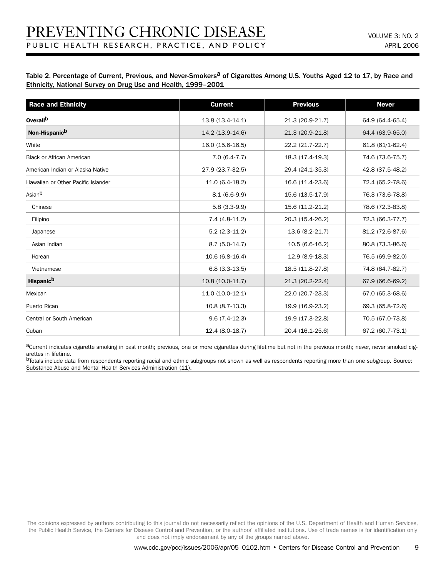Table 2. Percentage of Current, Previous, and Never-Smokers<sup>a</sup> of Cigarettes Among U.S. Youths Aged 12 to 17, by Race and Ethnicity, National Survey on Drug Use and Health, 1999–2001

| <b>Race and Ethnicity</b>          | <b>Current</b>    | <b>Previous</b>  | <b>Never</b>     |
|------------------------------------|-------------------|------------------|------------------|
| Overall <sup>b</sup>               | 13.8 (13.4-14.1)  | 21.3 (20.9-21.7) | 64.9 (64.4-65.4) |
| Non-Hispanic <sup>b</sup>          | 14.2 (13.9-14.6)  | 21.3 (20.9-21.8) | 64.4 (63.9-65.0) |
| White                              | 16.0 (15.6-16.5)  | 22.2 (21.7-22.7) | 61.8 (61/1-62.4) |
| <b>Black or African American</b>   | $7.0(6.4-7.7)$    | 18.3 (17.4-19.3) | 74.6 (73.6-75.7) |
| American Indian or Alaska Native   | 27.9 (23.7-32.5)  | 29.4 (24.1-35.3) | 42.8 (37.5-48.2) |
| Hawaiian or Other Pacific Islander | 11.0 (6.4-18.2)   | 16.6 (11.4-23.6) | 72.4 (65.2-78.6) |
| Asian <sup>b</sup>                 | $8.1(6.6-9.9)$    | 15.6 (13.5-17.9) | 76.3 (73.6-78.8) |
| Chinese                            | $5.8(3.3-9.9)$    | 15.6 (11.2-21.2) | 78.6 (72.3-83.8) |
| Filipino                           | $7.4(4.8-11.2)$   | 20.3 (15.4-26.2) | 72.3 (66.3-77.7) |
| Japanese                           | $5.2(2.3-11.2)$   | 13.6 (8.2-21.7)  | 81.2 (72.6-87.6) |
| Asian Indian                       | $8.7(5.0-14.7)$   | $10.5(6.6-16.2)$ | 80.8 (73.3-86.6) |
| Korean                             | 10.6 (6.8-16.4)   | 12.9 (8.9-18.3)  | 76.5 (69.9-82.0) |
| Vietnamese                         | $6.8(3.3-13.5)$   | 18.5 (11.8-27.8) | 74.8 (64.7-82.7) |
| <b>Hispanic<sup>b</sup></b>        | $10.8(10.0-11.7)$ | 21.3 (20.2-22.4) | 67.9 (66.6-69.2) |
| Mexican                            | $11.0(10.0-12.1)$ | 22.0 (20.7-23.3) | 67.0 (65.3-68.6) |
| Puerto Rican                       | 10.8 (8.7-13.3)   | 19.9 (16.9-23.2) | 69.3 (65.8-72.6) |
| Central or South American          | $9.6(7.4-12.3)$   | 19.9 (17.3-22.8) | 70.5 (67.0-73.8) |
| Cuban                              | 12.4 (8.0-18.7)   | 20.4 (16.1-25.6) | 67.2 (60.7-73.1) |

aCurrent indicates cigarette smoking in past month; previous, one or more cigarettes during lifetime but not in the previous month; never, never smoked cigarettes in lifetime.

bTotals include data from respondents reporting racial and ethnic subgroups not shown as well as respondents reporting more than one subgroup. Source: Substance Abuse and Mental Health Services Administration (11).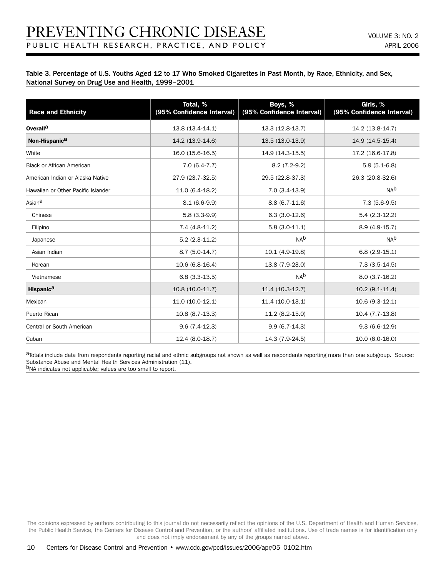#### Table 3. Percentage of U.S. Youths Aged 12 to 17 Who Smoked Cigarettes in Past Month, by Race, Ethnicity, and Sex, National Survey on Drug Use and Health, 1999–2001

| <b>Race and Ethnicity</b>          | Total, %<br>(95% Confidence Interval) | Boys, %<br>(95% Confidence Interval) | Girls, %<br>(95% Confidence Interval) |
|------------------------------------|---------------------------------------|--------------------------------------|---------------------------------------|
| <b>Overalla</b>                    | 13.8 (13.4-14.1)                      | 13.3 (12.8-13.7)                     | 14.2 (13.8-14.7)                      |
|                                    |                                       |                                      |                                       |
| Non-Hispanic <sup>a</sup>          | 14.2 (13.9-14.6)                      | 13.5 (13.0-13.9)                     | 14.9 (14.5-15.4)                      |
| White                              | 16.0 (15.6-16.5)                      | 14.9 (14.3-15.5)                     | 17.2 (16.6-17.8)                      |
| <b>Black or African American</b>   | $7.0(6.4-7.7)$                        | $8.2(7.2-9.2)$                       | $5.9(5.1-6.8)$                        |
| American Indian or Alaska Native   | 27.9 (23.7-32.5)                      | 29.5 (22.8-37.3)                     | 26.3 (20.8-32.6)                      |
| Hawaiian or Other Pacific Islander | 11.0 (6.4-18.2)                       | $7.0(3.4-13.9)$                      | N <sub>Ab</sub>                       |
| Asian <sup>a</sup>                 | $8.1(6.6-9.9)$                        | $8.8(6.7-11.6)$                      | $7.3(5.6-9.5)$                        |
| Chinese                            | $5.8(3.3-9.9)$                        | $6.3(3.0-12.6)$                      | $5.4(2.3-12.2)$                       |
| Filipino                           | $7.4(4.8-11.2)$                       | $5.8(3.0-11.1)$                      | 8.9 (4.9-15.7)                        |
| Japanese                           | $5.2(2.3-11.2)$                       | N <sub>Ab</sub>                      | N <sub>Ab</sub>                       |
| Asian Indian                       | $8.7(5.0-14.7)$                       | 10.1 (4.9-19.8)                      | $6.8(2.9-15.1)$                       |
| Korean                             | 10.6 (6.8-16.4)                       | 13.8 (7.9-23.0)                      | $7.3(3.5-14.5)$                       |
| Vietnamese                         | $6.8(3.3-13.5)$                       | N <sub>Ab</sub>                      | $8.0(3.7-16.2)$                       |
| <b>Hispanica</b>                   | $10.8(10.0-11.7)$                     | 11.4 (10.3-12.7)                     | $10.2(9.1-11.4)$                      |
| Mexican                            | 11.0 (10.0-12.1)                      | 11.4 (10.0-13.1)                     | $10.6(9.3-12.1)$                      |
| Puerto Rican                       | $10.8(8.7-13.3)$                      | $11.2(8.2-15.0)$                     | 10.4 (7.7-13.8)                       |
| Central or South American          | $9.6(7.4-12.3)$                       | $9.9(6.7-14.3)$                      | $9.3(6.6-12.9)$                       |
| Cuban                              | 12.4 (8.0-18.7)                       | 14.3 (7.9-24.5)                      | 10.0 (6.0-16.0)                       |

aTotals include data from respondents reporting racial and ethnic subgroups not shown as well as respondents reporting more than one subgroup. Source: Substance Abuse and Mental Health Services Administration (11).

bNA indicates not applicable; values are too small to report.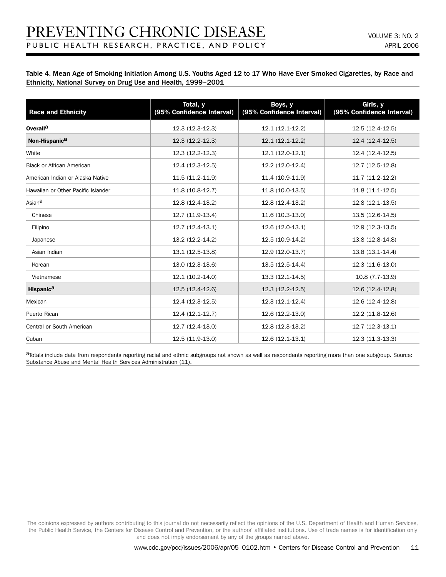Table 4. Mean Age of Smoking Initiation Among U.S. Youths Aged 12 to 17 Who Have Ever Smoked Cigarettes, by Race and Ethnicity, National Survey on Drug Use and Health, 1999–2001

| <b>Race and Ethnicity</b>          | Total, y<br>(95% Confidence Interval) | Boys, y<br>(95% Confidence Interval) | Girls, y<br>(95% Confidence Interval) |
|------------------------------------|---------------------------------------|--------------------------------------|---------------------------------------|
| Overall <sup>a</sup>               | 12.3 (12.3-12.3)                      | 12.1 (12.1-12.2)                     | 12.5 (12.4-12.5)                      |
| Non-Hispanic <sup>a</sup>          | $12.3(12.2-12.3)$                     | $12.1(12.1-12.2)$                    | 12.4 (12.4-12.5)                      |
| White                              | 12.3 (12.2-12.3)                      | 12.1 (12.0-12.1)                     | 12.4 (12.4-12.5)                      |
| Black or African American          | 12.4 (12.3-12.5)                      | 12.2 (12.0-12.4)                     | 12.7 (12.5-12.8)                      |
| American Indian or Alaska Native   | 11.5 (11.2-11.9)                      | 11.4 (10.9-11.9)                     | 11.7 (11.2-12.2)                      |
| Hawaiian or Other Pacific Islander | 11.8 (10.8-12.7)                      | 11.8 (10.0-13.5)                     | 11.8 (11.1-12.5)                      |
| Asian <sup>a</sup>                 | 12.8 (12.4-13.2)                      | 12.8 (12.4-13.2)                     | 12.8 (12.1-13.5)                      |
| Chinese                            | 12.7 (11.9-13.4)                      | 11.6 (10.3-13.0)                     | 13.5 (12.6-14.5)                      |
| Filipino                           | 12.7 (12.4-13.1)                      | 12.6 (12.0-13.1)                     | 12.9 (12.3-13.5)                      |
| Japanese                           | 13.2 (12.2-14.2)                      | 12.5 (10.9-14.2)                     | 13.8 (12.8-14.8)                      |
| Asian Indian                       | 13.1 (12.5-13.8)                      | 12.9 (12.0-13.7)                     | 13.8 (13.1-14.4)                      |
| Korean                             | 13.0 (12.3-13.6)                      | 13.5 (12.5-14.4)                     | 12.3 (11.6-13.0)                      |
| Vietnamese                         | 12.1 (10.2-14.0)                      | 13.3 (12.1-14.5)                     | 10.8 (7.7-13.9)                       |
| <b>Hispanica</b>                   | 12.5 (12.4-12.6)                      | 12.3 (12.2-12.5)                     | 12.6 (12.4-12.8)                      |
| Mexican                            | 12.4 (12.3-12.5)                      | 12.3 (12.1-12.4)                     | 12.6 (12.4-12.8)                      |
| Puerto Rican                       | 12.4 (12.1-12.7)                      | 12.6 (12.2-13.0)                     | 12.2 (11.8-12.6)                      |
| Central or South American          | 12.7 (12.4-13.0)                      | 12.8 (12.3-13.2)                     | 12.7 (12.3-13.1)                      |
| Cuban                              | 12.5 (11.9-13.0)                      | 12.6 (12.1-13.1)                     | 12.3 (11.3-13.3)                      |

aTotals include data from respondents reporting racial and ethnic subgroups not shown as well as respondents reporting more than one subgroup. Source: Substance Abuse and Mental Health Services Administration (11).